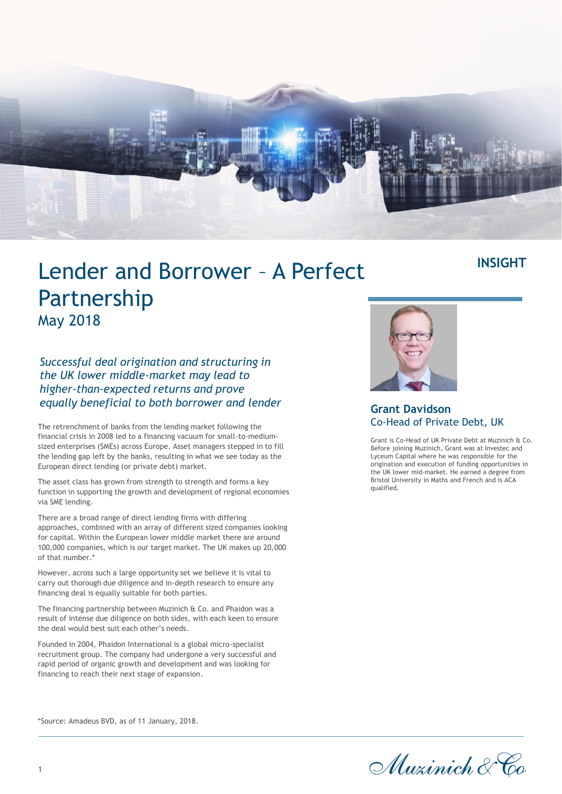

## Lender and Borrower – A Perfect Partnership May 2018

*Successful deal origination and structuring in the UK lower middle-market may lead to higher-than-expected returns and prove equally beneficial to both borrower and lender*

The retrenchment of banks from the lending market following the financial crisis in 2008 led to a financing vacuum for small-to-mediumsized enterprises (SMEs) across Europe. Asset managers stepped in to fill the lending gap left by the banks, resulting in what we see today as the European direct lending (or private debt) market.

The asset class has grown from strength to strength and forms a key function in supporting the growth and development of regional economies via SME lending.

There are a broad range of direct lending firms with differing approaches, combined with an array of different sized companies looking for capital. Within the European lower middle market there are around 100,000 companies, which is our target market. The UK makes up 20,000 of that number.\*

However, across such a large opportunity set we believe it is vital to carry out thorough due diligence and in-depth research to ensure any financing deal is equally suitable for both parties.

The financing partnership between Muzinich & Co. and Phaidon was a result of intense due diligence on both sides, with each keen to ensure the deal would best suit each other's needs.

Founded in 2004, Phaidon International is a global micro-specialist recruitment group. The company had undergone a very successful and rapid period of organic growth and development and was looking for financing to reach their next stage of expansion.

## **Grant Davidson**  Co-Head of Private Debt, UK

Grant is Co-Head of UK Private Debt at Muzinich & Co. Before joining Muzinich, Grant was at Investec and Lyceum Capital where he was responsible for the origination and execution of funding opportunities in the UK lower mid-market. He earned a degree from Bristol University in Maths and French and is ACA qualified.

**INSIGHT**



\*Source: Amadeus BVD, as of 11 January, 2018.